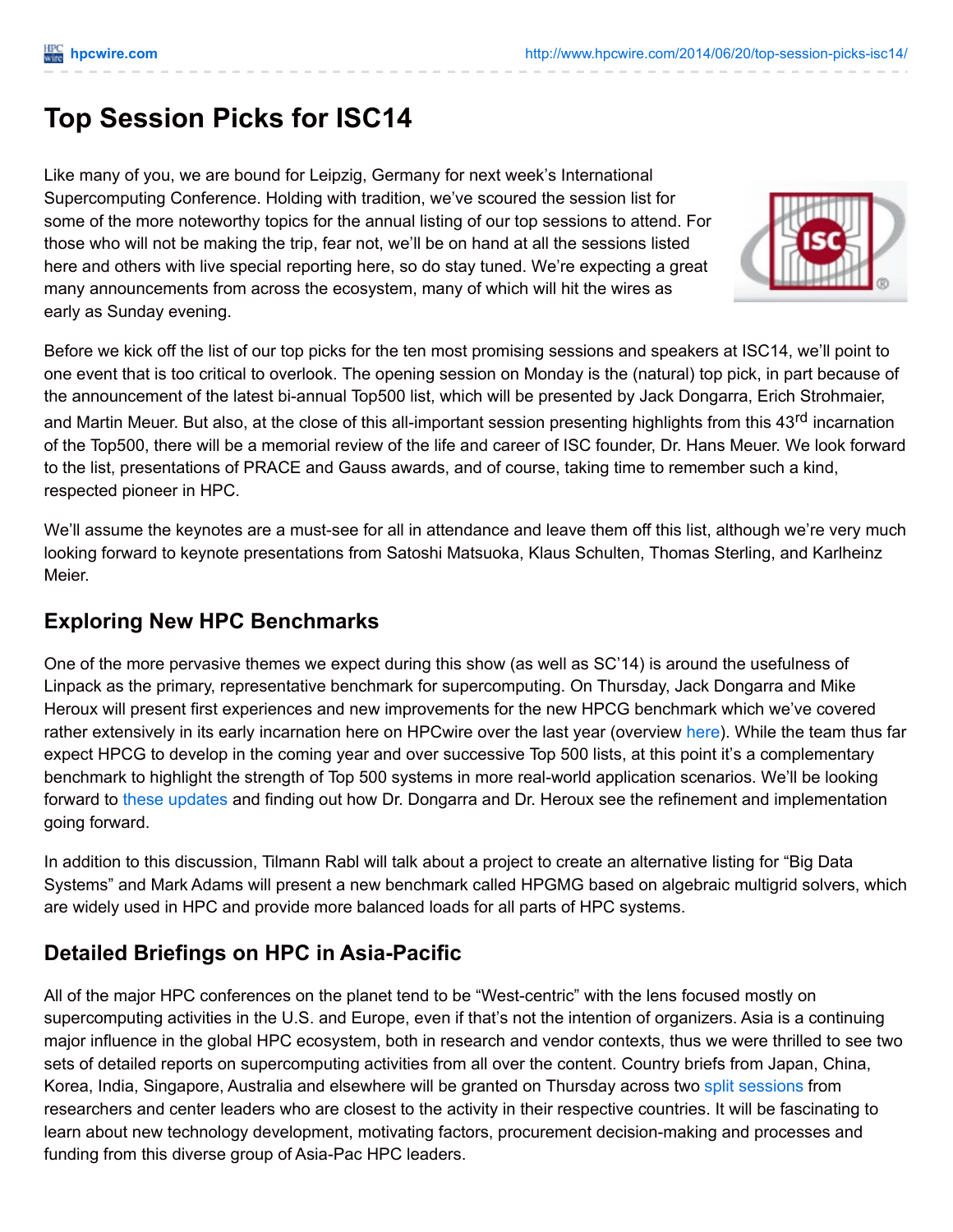# **Top Session Picks for ISC14**

Like many of you, we are bound for Leipzig, Germany for next week's International Supercomputing Conference. Holding with tradition, we've scoured the session list for some of the more noteworthy topics for the annual listing of our top sessions to attend. For those who will not be making the trip, fear not, we'll be on hand at all the sessions listed here and others with live special reporting here, so do stay tuned. We're expecting a great many announcements from across the ecosystem, many of which will hit the wires as early as Sunday evening.



Before we kick off the list of our top picks for the ten most promising sessions and speakers at ISC14, we'll point to one event that is too critical to overlook. The opening session on Monday is the (natural) top pick, in part because of the announcement of the latest bi-annual Top500 list, which will be presented by Jack Dongarra, Erich Strohmaier, and Martin Meuer. But also, at the close of this all-important session presenting highlights from this 43<sup>rd</sup> incarnation of the Top500, there will be a memorial review of the life and career of ISC founder, Dr. Hans Meuer. We look forward to the list, presentations of PRACE and Gauss awards, and of course, taking time to remember such a kind, respected pioneer in HPC.

We'll assume the keynotes are a must-see for all in attendance and leave them off this list, although we're very much looking forward to keynote presentations from Satoshi Matsuoka, Klaus Schulten, Thomas Sterling, and Karlheinz Meier.

#### **Exploring New HPC Benchmarks**

One of the more pervasive themes we expect during this show (as well as SC'14) is around the usefulness of Linpack as the primary, representative benchmark for supercomputing. On Thursday, Jack Dongarra and Mike Heroux will present first experiences and new improvements for the new HPCG benchmark which we've covered rather extensively in its early incarnation [here](http://www.google.com/url?sa=t&rct=j&q=&esrc=s&source=web&cd=2&cad=rja&uact=8&ved=0CDAQFjAB&url=http%3A%2F%2Fwww.hpcwire.com%2F2013%2F11%2F18%2Flinpack-creator-sheds-light-emerging-hpc-benchmark%2F&ei=tM6jU5HCHOmxsATwuYDwDQ&usg=AFQjCNFPMJjA3qA3b8-JYlHDZQFn5U6-Jw&sig2=8joXQ67-_gweabGDxfpAzg&bvm=bv.69411363,d.cWc) on HPCwire over the last year (overview here). While the team thus far expect HPCG to develop in the coming year and over successive Top 500 lists, at this point it's a complementary benchmark to highlight the strength of Top 500 systems in more real-world application scenarios. We'll be looking forward to these [updates](http://www.isc-events.com/isc14_ap/sessiondetails.htm?t=session&o=44&a=select&ra=byday) and finding out how Dr. Dongarra and Dr. Heroux see the refinement and implementation going forward.

In addition to this discussion, Tilmann Rabl will talk about a project to create an alternative listing for "Big Data Systems" and Mark Adams will present a new benchmark called HPGMG based on algebraic multigrid solvers, which are widely used in HPC and provide more balanced loads for all parts of HPC systems.

### **Detailed Briefings on HPC in Asia-Pacific**

All of the major HPC conferences on the planet tend to be "West-centric" with the lens focused mostly on supercomputing activities in the U.S. and Europe, even if that's not the intention of organizers. Asia is a continuing major influence in the global HPC ecosystem, both in research and vendor contexts, thus we were thrilled to see two sets of detailed reports on supercomputing activities from all over the content. Country briefs from Japan, China, Korea, India, Singapore, Australia and elsewhere will be granted on Thursday across two split [sessions](http://www.isc-events.com/isc14_ap/sessiondetails.htm?t=session&o=94&a=select&ra=byday) from researchers and center leaders who are closest to the activity in their respective countries. It will be fascinating to learn about new technology development, motivating factors, procurement decision-making and processes and funding from this diverse group of Asia-Pac HPC leaders.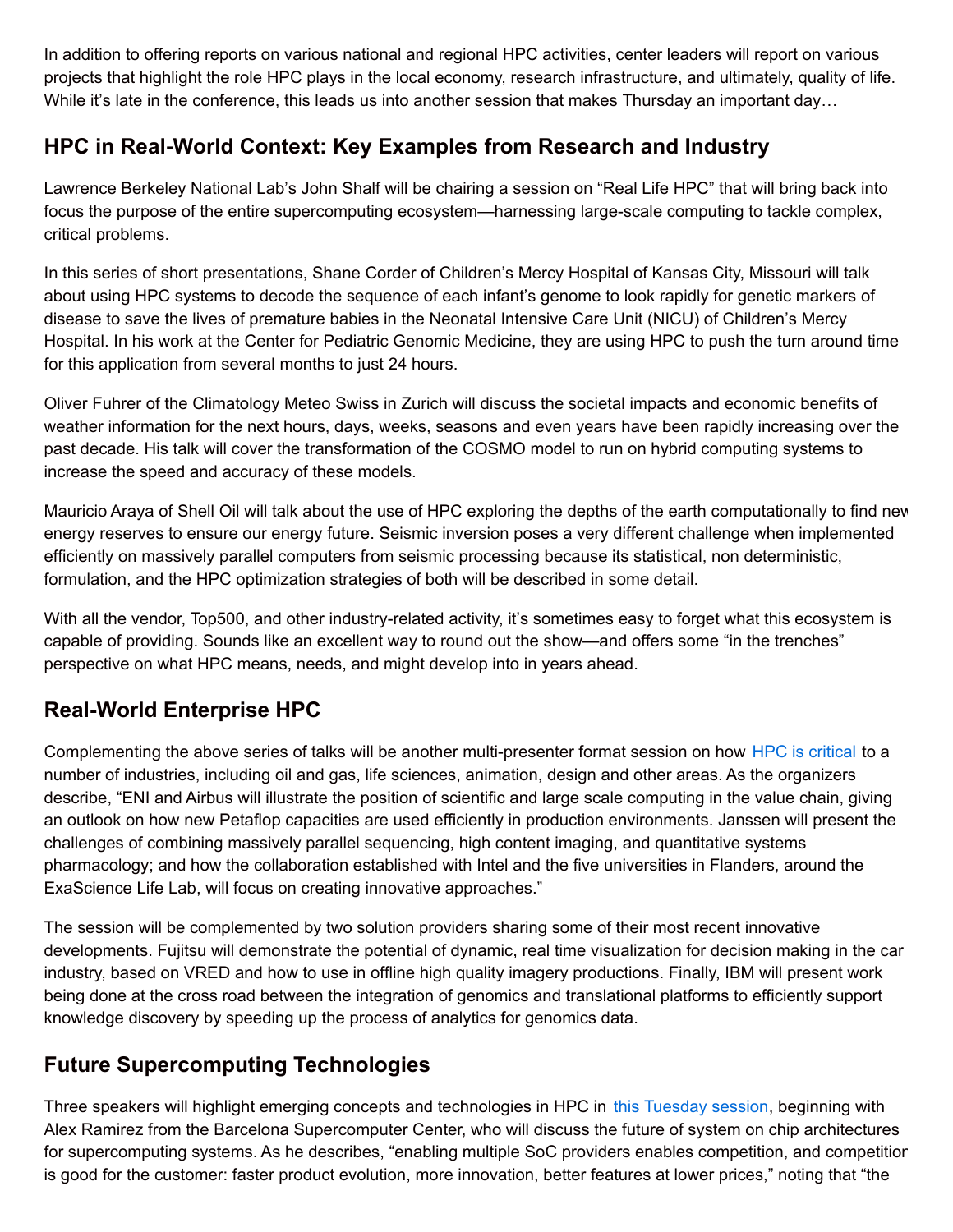In addition to offering reports on various national and regional HPC activities, center leaders will report on various projects that highlight the role HPC plays in the local economy, research infrastructure, and ultimately, quality of life. While it's late in the conference, this leads us into another session that makes Thursday an important day...

## **HPC in Real-World Context: Key Examples from Research and Industry**

Lawrence Berkeley National Lab's John Shalf will be chairing a session on "Real Life HPC" that will bring back into focus the purpose of the entire supercomputing ecosystem—harnessing large-scale computing to tackle complex, critical problems.

In this series of short presentations, Shane Corder of Children's Mercy Hospital of Kansas City, Missouri will talk about using HPC systems to decode the sequence of each infant's genome to look rapidly for genetic markers of disease to save the lives of premature babies in the Neonatal Intensive Care Unit (NICU) of Children's Mercy Hospital. In his work at the Center for Pediatric Genomic Medicine, they are using HPC to push the turn around time for this application from several months to just 24 hours.

Oliver Fuhrer of the Climatology Meteo Swiss in Zurich will discuss the societal impacts and economic benefits of weather information for the next hours, days, weeks, seasons and even years have been rapidly increasing over the past decade. His talk will cover the transformation of the COSMO model to run on hybrid computing systems to increase the speed and accuracy of these models.

Mauricio Araya of Shell Oil will talk about the use of HPC exploring the depths of the earth computationally to find new energy reserves to ensure our energy future. Seismic inversion poses a very different challenge when implemented efficiently on massively parallel computers from seismic processing because its statistical, non deterministic, formulation, and the HPC optimization strategies of both will be described in some detail.

With all the vendor, Top500, and other industry-related activity, it's sometimes easy to forget what this ecosystem is capable of providing. Sounds like an excellent way to round out the show—and offers some "in the trenches" perspective on what HPC means, needs, and might develop into in years ahead.

### **Real-World Enterprise HPC**

Complementing the above series of talks will be another multi-presenter format session on how HPC is [critical](http://www.isc-events.com/isc14_ap/sessiondetails.htm?t=session&o=90&a=select&ra=byday) to a number of industries, including oil and gas, life sciences, animation, design and other areas. As the organizers describe, "ENI and Airbus will illustrate the position of scientific and large scale computing in the value chain, giving an outlook on how new Petaflop capacities are used efficiently in production environments. Janssen will present the challenges of combining massively parallel sequencing, high content imaging, and quantitative systems pharmacology; and how the collaboration established with Intel and the five universities in Flanders, around the ExaScience Life Lab, will focus on creating innovative approaches."

The session will be complemented by two solution providers sharing some of their most recent innovative developments. Fujitsu will demonstrate the potential of dynamic, real time visualization for decision making in the car industry, based on VRED and how to use in offline high quality imagery productions. Finally, IBM will present work being done at the cross road between the integration of genomics and translational platforms to efficiently support knowledge discovery by speeding up the process of analytics for genomics data.

### **Future Supercomputing Technologies**

Three speakers will highlight emerging concepts and technologies in HPC in this [Tuesday](http://www.isc-events.com/isc14_ap/sessiondetails.htm?t=session&o=42&a=select&ra=byday) session, beginning with Alex Ramirez from the Barcelona Supercomputer Center, who will discuss the future of system on chip architectures for supercomputing systems. As he describes, "enabling multiple SoC providers enables competition, and competition is good for the customer: faster product evolution, more innovation, better features at lower prices," noting that "the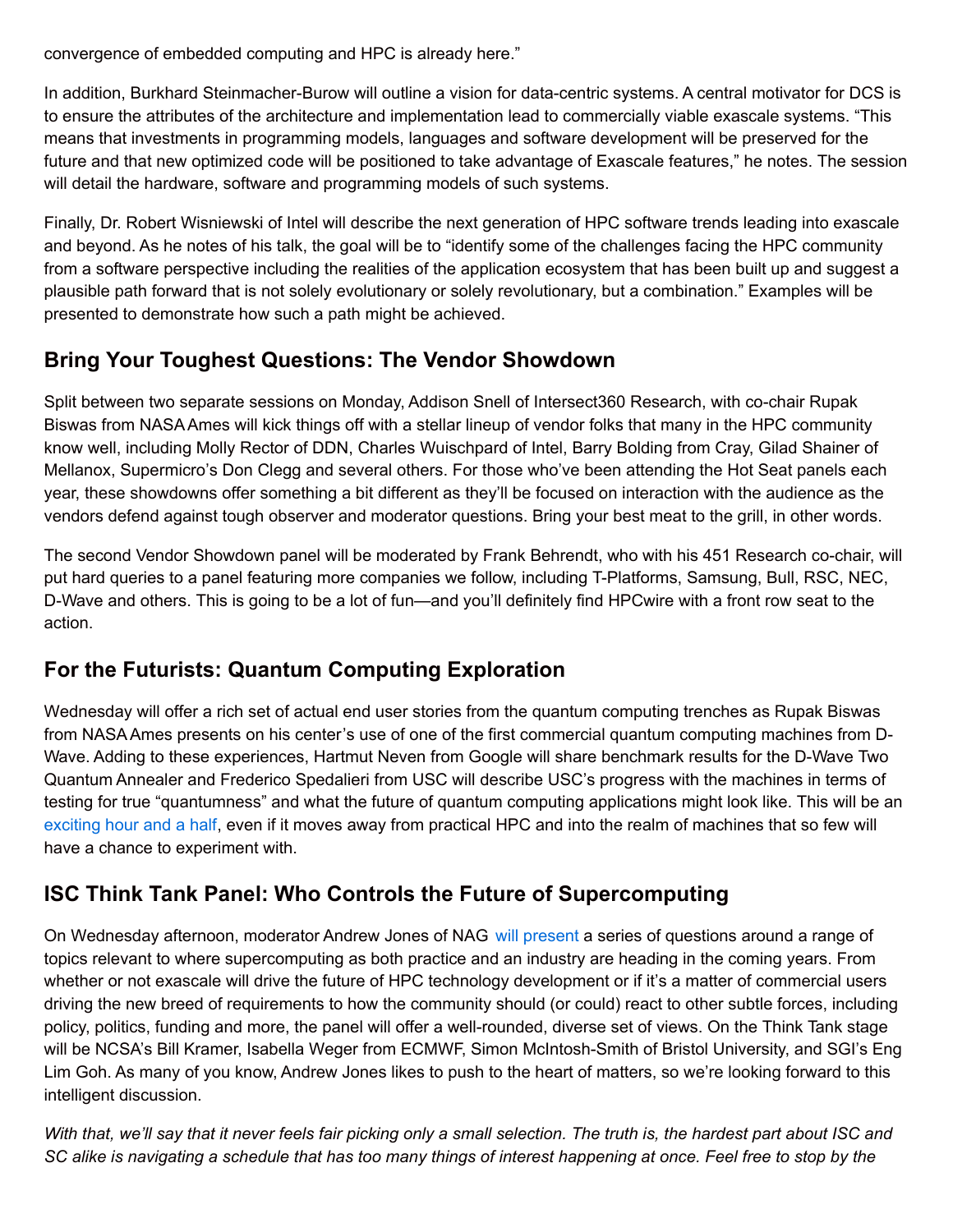convergence of embedded computing and HPC is already here."

In addition, Burkhard Steinmacher-Burow will outline a vision for data-centric systems. A central motivator for DCS is to ensure the attributes of the architecture and implementation lead to commercially viable exascale systems. "This means that investments in programming models, languages and software development will be preserved for the future and that new optimized code will be positioned to take advantage of Exascale features," he notes. The session will detail the hardware, software and programming models of such systems.

Finally, Dr. Robert Wisniewski of Intel will describe the next generation of HPC software trends leading into exascale and beyond. As he notes of his talk, the goal will be to "identify some of the challenges facing the HPC community from a software perspective including the realities of the application ecosystem that has been built up and suggest a plausible path forward that is not solely evolutionary or solely revolutionary, but a combination." Examples will be presented to demonstrate how such a path might be achieved.

### **Bring Your Toughest Questions: The Vendor Showdown**

Split between two separate sessions on Monday, Addison Snell of Intersect360 Research, with co-chair Rupak Biswas from NASAAmes will kick things off with a stellar lineup of vendor folks that many in the HPC community know well, including Molly Rector of DDN, Charles Wuischpard of Intel, Barry Bolding from Cray, Gilad Shainer of Mellanox, Supermicro's Don Clegg and several others. For those who've been attending the Hot Seat panels each year, these showdowns offer something a bit different as they'll be focused on interaction with the audience as the vendors defend against tough observer and moderator questions. Bring your best meat to the grill, in other words.

The second Vendor Showdown panel will be moderated by Frank Behrendt, who with his 451 Research co-chair, will put hard queries to a panel featuring more companies we follow, including T-Platforms, Samsung, Bull, RSC, NEC, D-Wave and others. This is going to be a lot of fun—and you'll definitely find HPCwire with a front row seat to the action.

### **For the Futurists: Quantum Computing Exploration**

Wednesday will offer a rich set of actual end user stories from the quantum computing trenches as Rupak Biswas from NASAAmes presents on his center's use of one of the first commercial quantum computing machines from D-Wave. Adding to these experiences, Hartmut Neven from Google will share benchmark results for the D-Wave Two Quantum Annealer and Frederico Spedalieri from USC will describe USC's progress with the machines in terms of testing for true "quantumness" and what the future of quantum computing applications might look like. This will be an [exciting](http://www.isc-events.com/isc14_ap/sessiondetails.htm?t=session&o=46&a=select&ra=byday) hour and a half, even if it moves away from practical HPC and into the realm of machines that so few will have a chance to experiment with.

### **ISC Think Tank Panel: Who Controls the Future of Supercomputing**

On Wednesday afternoon, moderator Andrew Jones of NAG will [present](http://www.isc-events.com/isc14_ap/sessiondetails.htm?t=session&o=53&a=select&ra=byday) a series of questions around a range of topics relevant to where supercomputing as both practice and an industry are heading in the coming years. From whether or not exascale will drive the future of HPC technology development or if it's a matter of commercial users driving the new breed of requirements to how the community should (or could) react to other subtle forces, including policy, politics, funding and more, the panel will offer a well-rounded, diverse set of views. On the Think Tank stage will be NCSA's Bill Kramer, Isabella Weger from ECMWF, Simon McIntosh-Smith of Bristol University, and SGI's Eng Lim Goh. As many of you know, Andrew Jones likes to push to the heart of matters, so we're looking forward to this intelligent discussion.

With that, we'll say that it never feels fair picking only a small selection. The truth is, the hardest part about ISC and SC alike is navigating a schedule that has too many things of interest happening at once. Feel free to stop by the